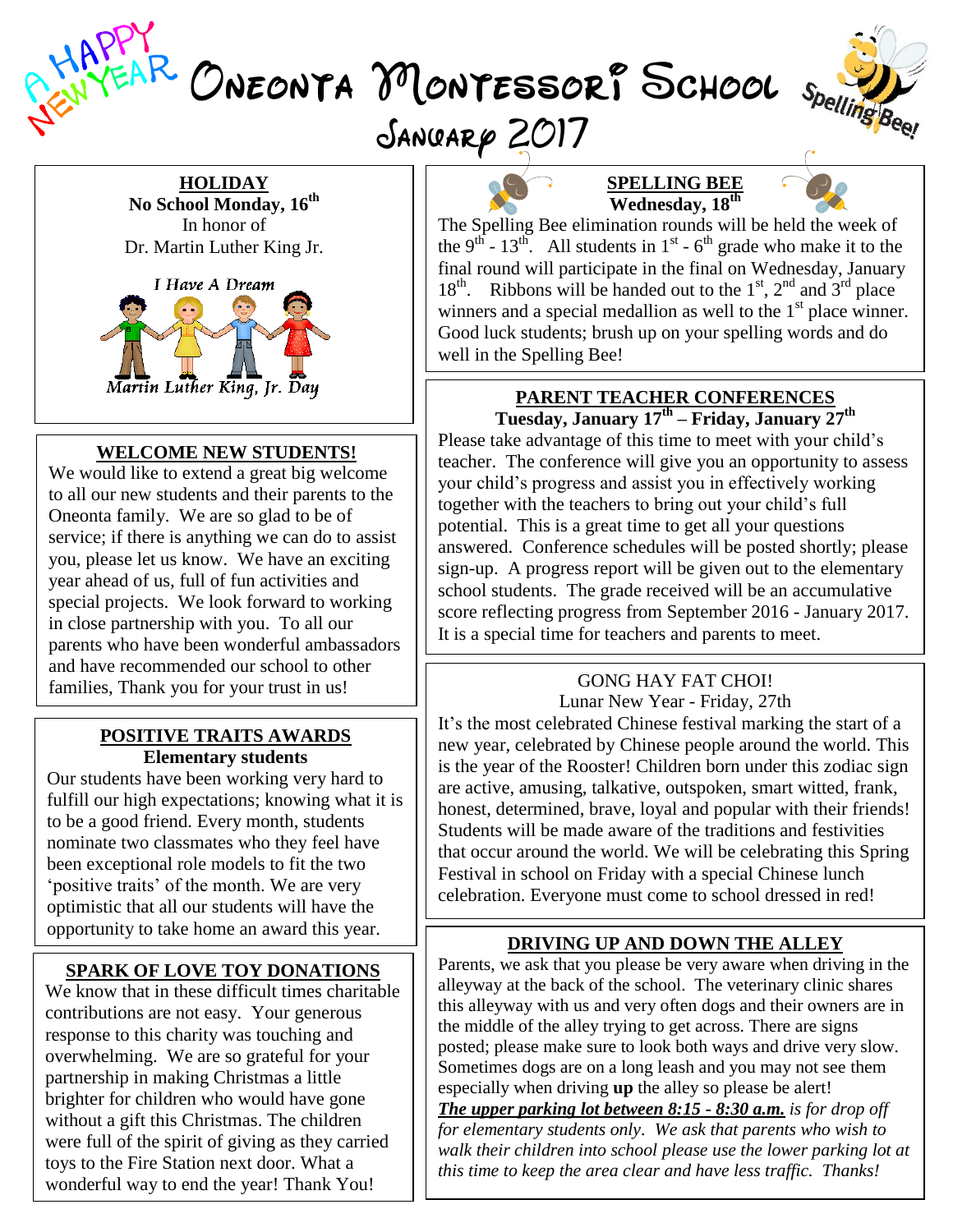VEAR ONEONTA MONTESSORP SCHOOL Spelling Bee SANGARP 2017



#### **HOLIDAY**

**No School Monday, 16 th** In honor of Dr. Martin Luther King Jr.



#### **WELCOME NEW STUDENTS!**

We would like to extend a great big welcome to all our new students and their parents to the Oneonta family. We are so glad to be of service; if there is anything we can do to assist you, please let us know. We have an exciting year ahead of us, full of fun activities and special projects. We look forward to working in close partnership with you. To all our parents who have been wonderful ambassadors and have recommended our school to other families, Thank you for your trust in us!

#### **POSITIVE TRAITS AWARDS Elementary students**

Our students have been working very hard to fulfill our high expectations; knowing what it is to be a good friend. Every month, students nominate two classmates who they feel have been exceptional role models to fit the two 'positive traits' of the month. We are very optimistic that all our students will have the opportunity to take home an award this year.

### **SPARK OF LOVE TOY DONATIONS**

We know that in these difficult times charitable contributions are not easy. Your generous response to this charity was touching and overwhelming. We are so grateful for your partnership in making Christmas a little brighter for children who would have gone without a gift this Christmas. The children were full of the spirit of giving as they carried toys to the Fire Station next door. What a wonderful way to end the year! Thank You!





The Spelling Bee elimination rounds will be held the week of the 9<sup>th</sup> - 13<sup>th</sup>. All students in 1<sup>st</sup> - 6<sup>th</sup> grade who make it to the final round will participate in the final on Wednesday, January  $18<sup>th</sup>$ . Ribbons will be handed out to the  $1<sup>st</sup>$ ,  $2<sup>nd</sup>$  and  $3<sup>rd</sup>$  place winners and a special medallion as well to the  $1<sup>st</sup>$  place winner. Good luck students; brush up on your spelling words and do well in the Spelling Bee!

#### **PARENT TEACHER CONFERENCES Tuesday, January 17 th – Friday, January 27 th**

Please take advantage of this time to meet with your child's teacher. The conference will give you an opportunity to assess your child's progress and assist you in effectively working together with the teachers to bring out your child's full potential. This is a great time to get all your questions answered. Conference schedules will be posted shortly; please sign-up. A progress report will be given out to the elementary school students. The grade received will be an accumulative score reflecting progress from September 2016 - January 2017. It is a special time for teachers and parents to meet.

## GONG HAY FAT CHOI!

Lunar New Year - Friday, 27th It's the most celebrated Chinese festival marking the start of a new year, celebrated by Chinese people around the world. This is the year of the Rooster! Children born under this zodiac sign are active, amusing, talkative, outspoken, smart witted, frank, honest, determined, brave, loyal and popular with their friends! Students will be made aware of the traditions and festivities that occur around the world. We will be celebrating this Spring Festival in school on Friday with a special Chinese lunch celebration. Everyone must come to school dressed in red!

#### **DRIVING UP AND DOWN THE ALLEY**

Parents, we ask that you please be very aware when driving in the alleyway at the back of the school. The veterinary clinic shares this alleyway with us and very often dogs and their owners are in the middle of the alley trying to get across. There are signs posted; please make sure to look both ways and drive very slow. Sometimes dogs are on a long leash and you may not see them especially when driving **up** the alley so please be alert! *The upper parking lot between 8:15 - 8:30 a.m. is for drop off* 

*for elementary students only. We ask that parents who wish to walk their children into school please use the lower parking lot at this time to keep the area clear and have less traffic. Thanks!*